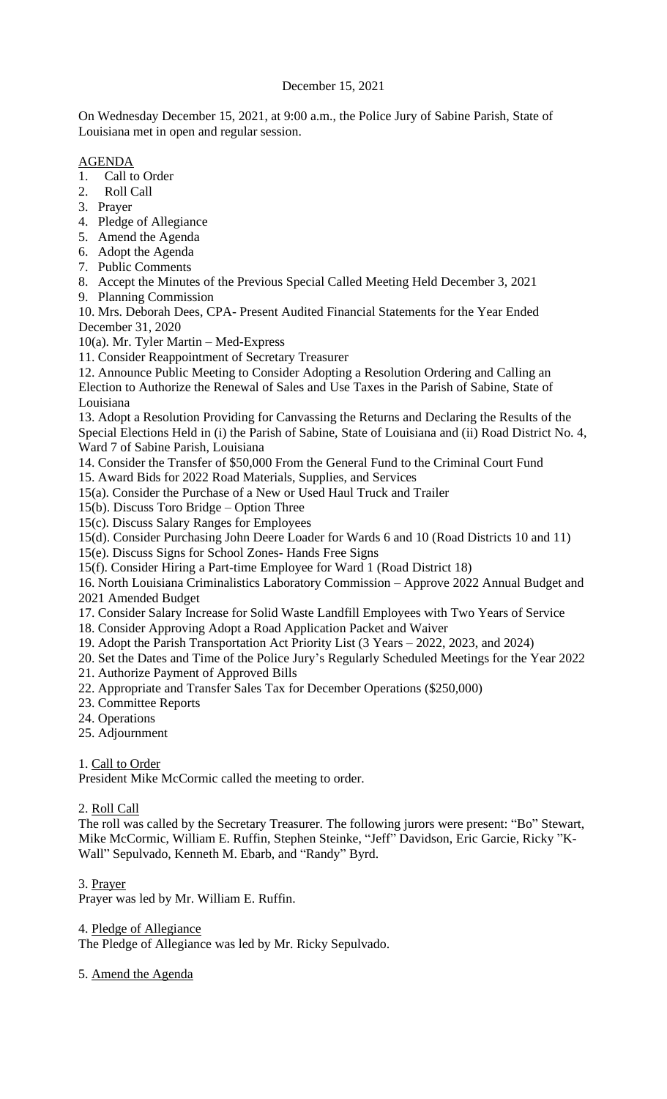# December 15, 2021

On Wednesday December 15, 2021, at 9:00 a.m., the Police Jury of Sabine Parish, State of Louisiana met in open and regular session.

# AGENDA

- 1. Call to Order
- 2. Roll Call
- 3. Prayer
- 4. Pledge of Allegiance
- 5. Amend the Agenda
- 6. Adopt the Agenda
- 7. Public Comments
- 8. Accept the Minutes of the Previous Special Called Meeting Held December 3, 2021
- 9. Planning Commission

10. Mrs. Deborah Dees, CPA- Present Audited Financial Statements for the Year Ended December 31, 2020

10(a). Mr. Tyler Martin – Med-Express

11. Consider Reappointment of Secretary Treasurer

12. Announce Public Meeting to Consider Adopting a Resolution Ordering and Calling an Election to Authorize the Renewal of Sales and Use Taxes in the Parish of Sabine, State of Louisiana

13. Adopt a Resolution Providing for Canvassing the Returns and Declaring the Results of the Special Elections Held in (i) the Parish of Sabine, State of Louisiana and (ii) Road District No. 4, Ward 7 of Sabine Parish, Louisiana

14. Consider the Transfer of \$50,000 From the General Fund to the Criminal Court Fund

15. Award Bids for 2022 Road Materials, Supplies, and Services

15(a). Consider the Purchase of a New or Used Haul Truck and Trailer

- 15(b). Discuss Toro Bridge Option Three
- 15(c). Discuss Salary Ranges for Employees

15(d). Consider Purchasing John Deere Loader for Wards 6 and 10 (Road Districts 10 and 11)

15(e). Discuss Signs for School Zones- Hands Free Signs

15(f). Consider Hiring a Part-time Employee for Ward 1 (Road District 18)

16. North Louisiana Criminalistics Laboratory Commission – Approve 2022 Annual Budget and 2021 Amended Budget

17. Consider Salary Increase for Solid Waste Landfill Employees with Two Years of Service

- 18. Consider Approving Adopt a Road Application Packet and Waiver
- 19. Adopt the Parish Transportation Act Priority List (3 Years 2022, 2023, and 2024)

20. Set the Dates and Time of the Police Jury's Regularly Scheduled Meetings for the Year 2022

- 21. Authorize Payment of Approved Bills
- 22. Appropriate and Transfer Sales Tax for December Operations (\$250,000)
- 23. Committee Reports
- 24. Operations
- 25. Adjournment

1. Call to Order

President Mike McCormic called the meeting to order.

2. Roll Call

The roll was called by the Secretary Treasurer. The following jurors were present: "Bo" Stewart, Mike McCormic, William E. Ruffin, Stephen Steinke, "Jeff" Davidson, Eric Garcie, Ricky "K-Wall" Sepulvado, Kenneth M. Ebarb, and "Randy" Byrd.

3. Prayer

Prayer was led by Mr. William E. Ruffin.

4. Pledge of Allegiance

The Pledge of Allegiance was led by Mr. Ricky Sepulvado.

5. Amend the Agenda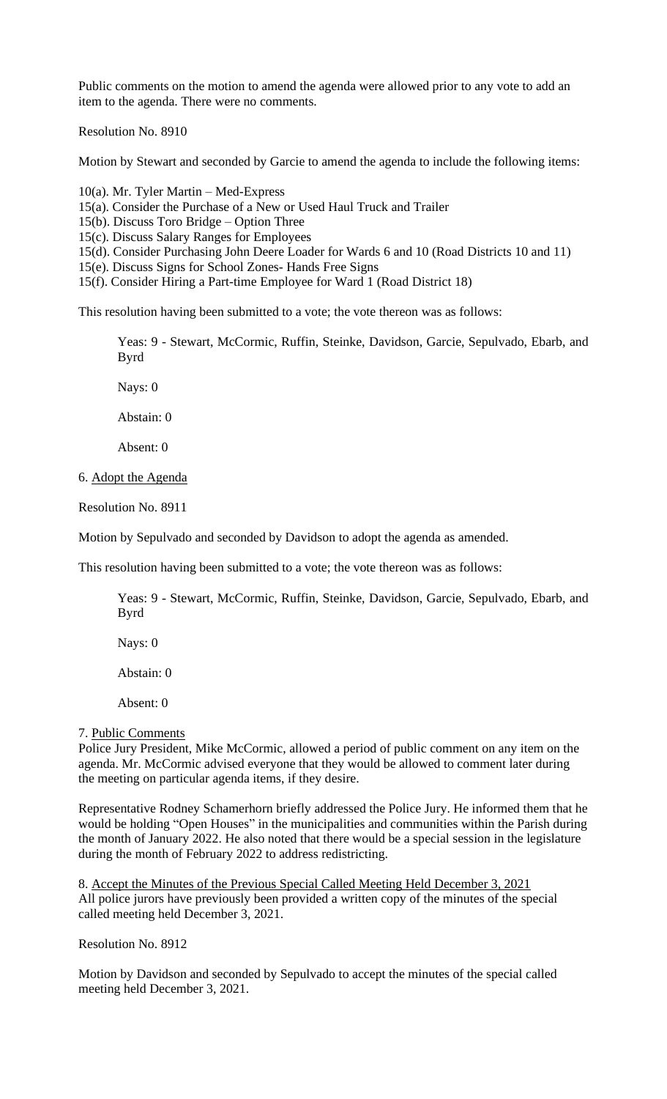Public comments on the motion to amend the agenda were allowed prior to any vote to add an item to the agenda. There were no comments.

Resolution No. 8910

Motion by Stewart and seconded by Garcie to amend the agenda to include the following items:

10(a). Mr. Tyler Martin – Med-Express

15(a). Consider the Purchase of a New or Used Haul Truck and Trailer

15(b). Discuss Toro Bridge – Option Three

15(c). Discuss Salary Ranges for Employees

15(d). Consider Purchasing John Deere Loader for Wards 6 and 10 (Road Districts 10 and 11)

15(e). Discuss Signs for School Zones- Hands Free Signs

15(f). Consider Hiring a Part-time Employee for Ward 1 (Road District 18)

This resolution having been submitted to a vote; the vote thereon was as follows:

Yeas: 9 - Stewart, McCormic, Ruffin, Steinke, Davidson, Garcie, Sepulvado, Ebarb, and Byrd

Nays: 0

Abstain: 0

Absent: 0

6. Adopt the Agenda

Resolution No. 8911

Motion by Sepulvado and seconded by Davidson to adopt the agenda as amended.

This resolution having been submitted to a vote; the vote thereon was as follows:

Yeas: 9 - Stewart, McCormic, Ruffin, Steinke, Davidson, Garcie, Sepulvado, Ebarb, and Byrd

Nays: 0

Abstain: 0

Absent: 0

#### 7. Public Comments

Police Jury President, Mike McCormic, allowed a period of public comment on any item on the agenda. Mr. McCormic advised everyone that they would be allowed to comment later during the meeting on particular agenda items, if they desire.

Representative Rodney Schamerhorn briefly addressed the Police Jury. He informed them that he would be holding "Open Houses" in the municipalities and communities within the Parish during the month of January 2022. He also noted that there would be a special session in the legislature during the month of February 2022 to address redistricting.

8. Accept the Minutes of the Previous Special Called Meeting Held December 3, 2021 All police jurors have previously been provided a written copy of the minutes of the special called meeting held December 3, 2021.

Resolution No. 8912

Motion by Davidson and seconded by Sepulvado to accept the minutes of the special called meeting held December 3, 2021.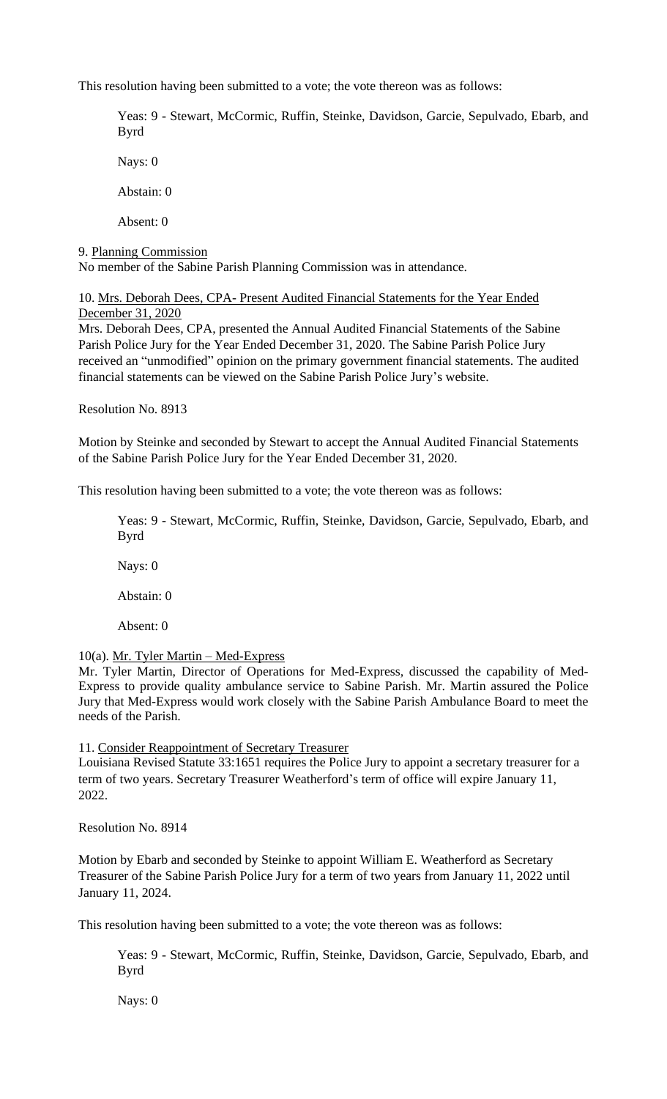This resolution having been submitted to a vote; the vote thereon was as follows:

Yeas: 9 - Stewart, McCormic, Ruffin, Steinke, Davidson, Garcie, Sepulvado, Ebarb, and Byrd

Nays: 0

Abstain: 0

Absent: 0

9. Planning Commission

No member of the Sabine Parish Planning Commission was in attendance.

10. Mrs. Deborah Dees, CPA- Present Audited Financial Statements for the Year Ended December 31, 2020

Mrs. Deborah Dees, CPA, presented the Annual Audited Financial Statements of the Sabine Parish Police Jury for the Year Ended December 31, 2020. The Sabine Parish Police Jury received an "unmodified" opinion on the primary government financial statements. The audited financial statements can be viewed on the Sabine Parish Police Jury's website.

Resolution No. 8913

Motion by Steinke and seconded by Stewart to accept the Annual Audited Financial Statements of the Sabine Parish Police Jury for the Year Ended December 31, 2020.

This resolution having been submitted to a vote; the vote thereon was as follows:

Yeas: 9 - Stewart, McCormic, Ruffin, Steinke, Davidson, Garcie, Sepulvado, Ebarb, and Byrd

Nays: 0

Abstain: 0

Absent: 0

#### 10(a). Mr. Tyler Martin – Med-Express

Mr. Tyler Martin, Director of Operations for Med-Express, discussed the capability of Med-Express to provide quality ambulance service to Sabine Parish. Mr. Martin assured the Police Jury that Med-Express would work closely with the Sabine Parish Ambulance Board to meet the needs of the Parish.

11. Consider Reappointment of Secretary Treasurer

Louisiana Revised Statute 33:1651 requires the Police Jury to appoint a secretary treasurer for a term of two years. Secretary Treasurer Weatherford's term of office will expire January 11, 2022.

Resolution No. 8914

Motion by Ebarb and seconded by Steinke to appoint William E. Weatherford as Secretary Treasurer of the Sabine Parish Police Jury for a term of two years from January 11, 2022 until January 11, 2024.

This resolution having been submitted to a vote; the vote thereon was as follows:

Yeas: 9 - Stewart, McCormic, Ruffin, Steinke, Davidson, Garcie, Sepulvado, Ebarb, and Byrd

Nays: 0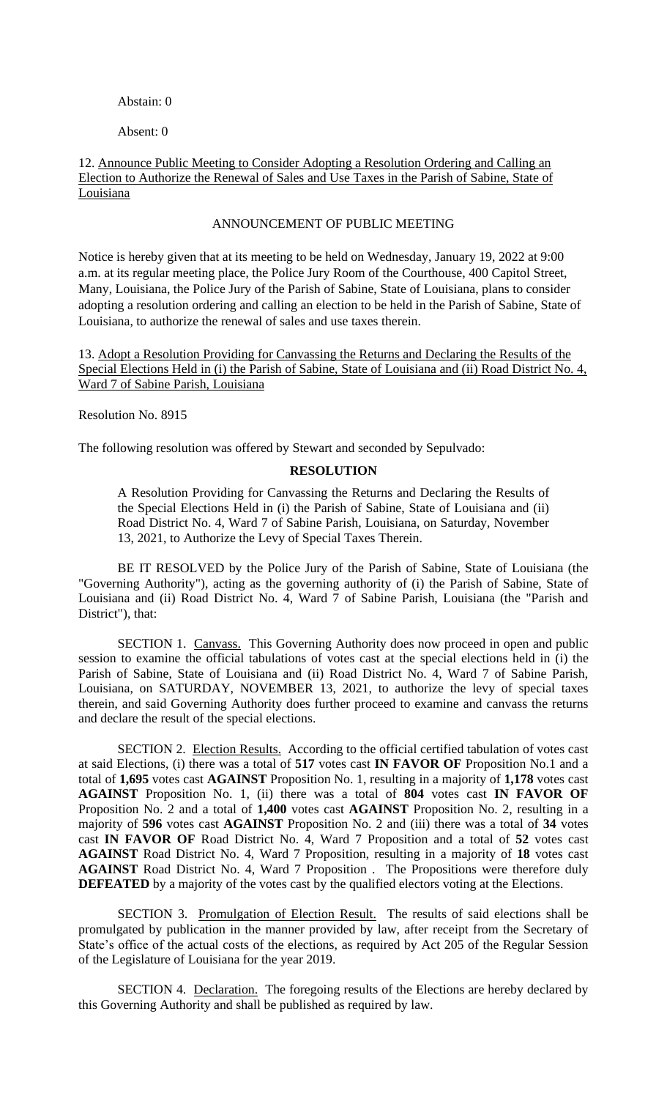## Abstain: 0

Absent: 0

## 12. Announce Public Meeting to Consider Adopting a Resolution Ordering and Calling an Election to Authorize the Renewal of Sales and Use Taxes in the Parish of Sabine, State of Louisiana

#### ANNOUNCEMENT OF PUBLIC MEETING

Notice is hereby given that at its meeting to be held on Wednesday, January 19, 2022 at 9:00 a.m. at its regular meeting place, the Police Jury Room of the Courthouse, 400 Capitol Street, Many, Louisiana, the Police Jury of the Parish of Sabine, State of Louisiana, plans to consider adopting a resolution ordering and calling an election to be held in the Parish of Sabine, State of Louisiana, to authorize the renewal of sales and use taxes therein.

13. Adopt a Resolution Providing for Canvassing the Returns and Declaring the Results of the Special Elections Held in (i) the Parish of Sabine, State of Louisiana and (ii) Road District No. 4, Ward 7 of Sabine Parish, Louisiana

Resolution No. 8915

The following resolution was offered by Stewart and seconded by Sepulvado:

# **RESOLUTION**

A Resolution Providing for Canvassing the Returns and Declaring the Results of the Special Elections Held in (i) the Parish of Sabine, State of Louisiana and (ii) Road District No. 4, Ward 7 of Sabine Parish, Louisiana, on Saturday, November 13, 2021, to Authorize the Levy of Special Taxes Therein.

BE IT RESOLVED by the Police Jury of the Parish of Sabine, State of Louisiana (the "Governing Authority"), acting as the governing authority of (i) the Parish of Sabine, State of Louisiana and (ii) Road District No. 4, Ward 7 of Sabine Parish, Louisiana (the "Parish and District"), that:

SECTION 1. Canvass. This Governing Authority does now proceed in open and public session to examine the official tabulations of votes cast at the special elections held in (i) the Parish of Sabine, State of Louisiana and (ii) Road District No. 4, Ward 7 of Sabine Parish, Louisiana, on SATURDAY, NOVEMBER 13, 2021, to authorize the levy of special taxes therein, and said Governing Authority does further proceed to examine and canvass the returns and declare the result of the special elections.

SECTION 2. Election Results. According to the official certified tabulation of votes cast at said Elections, (i) there was a total of **517** votes cast **IN FAVOR OF** Proposition No.1 and a total of **1,695** votes cast **AGAINST** Proposition No. 1, resulting in a majority of **1,178** votes cast **AGAINST** Proposition No. 1, (ii) there was a total of **804** votes cast **IN FAVOR OF** Proposition No. 2 and a total of **1,400** votes cast **AGAINST** Proposition No. 2, resulting in a majority of **596** votes cast **AGAINST** Proposition No. 2 and (iii) there was a total of **34** votes cast **IN FAVOR OF** Road District No. 4, Ward 7 Proposition and a total of **52** votes cast **AGAINST** Road District No. 4, Ward 7 Proposition, resulting in a majority of **18** votes cast **AGAINST** Road District No. 4, Ward 7 Proposition . The Propositions were therefore duly **DEFEATED** by a majority of the votes cast by the qualified electors voting at the Elections.

SECTION 3. Promulgation of Election Result. The results of said elections shall be promulgated by publication in the manner provided by law, after receipt from the Secretary of State's office of the actual costs of the elections, as required by Act 205 of the Regular Session of the Legislature of Louisiana for the year 2019.

SECTION 4. Declaration. The foregoing results of the Elections are hereby declared by this Governing Authority and shall be published as required by law.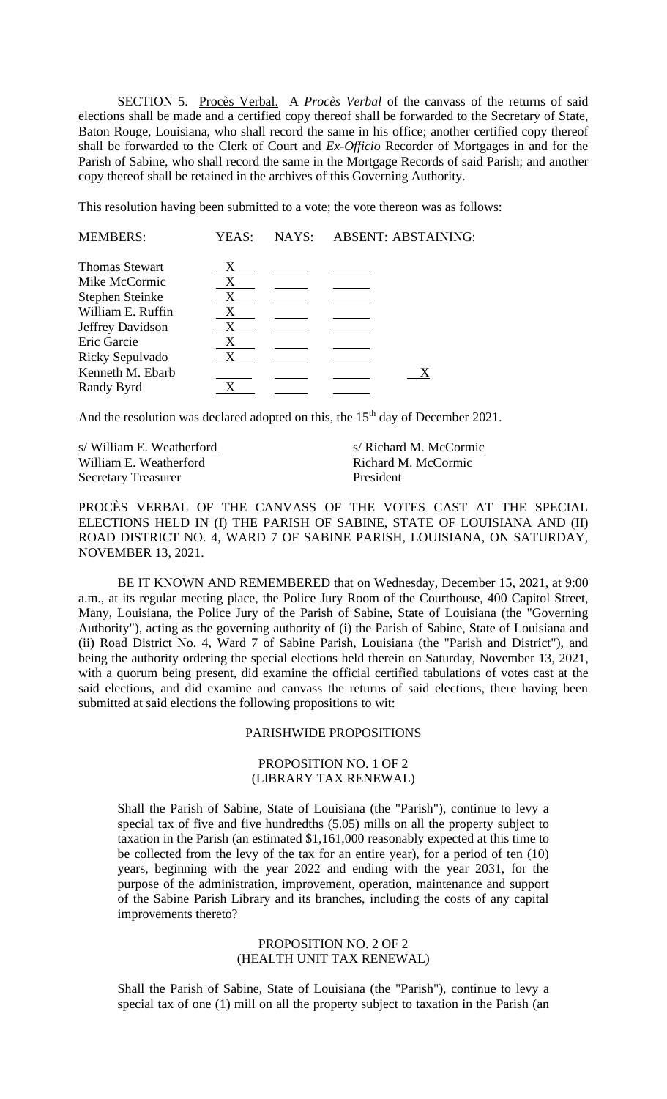SECTION 5. Procès Verbal. A *Procès Verbal* of the canvass of the returns of said elections shall be made and a certified copy thereof shall be forwarded to the Secretary of State, Baton Rouge, Louisiana, who shall record the same in his office; another certified copy thereof shall be forwarded to the Clerk of Court and *Ex-Officio* Recorder of Mortgages in and for the Parish of Sabine, who shall record the same in the Mortgage Records of said Parish; and another copy thereof shall be retained in the archives of this Governing Authority.

This resolution having been submitted to a vote; the vote thereon was as follows:

| <b>MEMBERS:</b>        | YEAS: | NAYS: | <b>ABSENT: ABSTAINING:</b> |
|------------------------|-------|-------|----------------------------|
| <b>Thomas Stewart</b>  | X     |       |                            |
| Mike McCormic          | X     |       |                            |
| <b>Stephen Steinke</b> | X     |       |                            |
| William E. Ruffin      | X     |       |                            |
| Jeffrey Davidson       | X     |       |                            |
| Eric Garcie            | X     |       |                            |
| Ricky Sepulvado        | X     |       |                            |
| Kenneth M. Ebarb       |       |       |                            |
| Randy Byrd             |       |       |                            |

And the resolution was declared adopted on this, the 15<sup>th</sup> day of December 2021.

William E. Weatherford Richard M. McCormic Secretary Treasurer President

s/ William E. Weatherford s/ Richard M. McCormic

PROCÈS VERBAL OF THE CANVASS OF THE VOTES CAST AT THE SPECIAL ELECTIONS HELD IN (I) THE PARISH OF SABINE, STATE OF LOUISIANA AND (II) ROAD DISTRICT NO. 4, WARD 7 OF SABINE PARISH, LOUISIANA, ON SATURDAY, NOVEMBER 13, 2021.

BE IT KNOWN AND REMEMBERED that on Wednesday, December 15, 2021, at 9:00 a.m., at its regular meeting place, the Police Jury Room of the Courthouse, 400 Capitol Street, Many, Louisiana, the Police Jury of the Parish of Sabine, State of Louisiana (the "Governing Authority"), acting as the governing authority of (i) the Parish of Sabine, State of Louisiana and (ii) Road District No. 4, Ward 7 of Sabine Parish, Louisiana (the "Parish and District"), and being the authority ordering the special elections held therein on Saturday, November 13, 2021, with a quorum being present, did examine the official certified tabulations of votes cast at the said elections, and did examine and canvass the returns of said elections, there having been submitted at said elections the following propositions to wit:

#### PARISHWIDE PROPOSITIONS

## PROPOSITION NO. 1 OF 2 (LIBRARY TAX RENEWAL)

Shall the Parish of Sabine, State of Louisiana (the "Parish"), continue to levy a special tax of five and five hundredths (5.05) mills on all the property subject to taxation in the Parish (an estimated \$1,161,000 reasonably expected at this time to be collected from the levy of the tax for an entire year), for a period of ten (10) years, beginning with the year 2022 and ending with the year 2031, for the purpose of the administration, improvement, operation, maintenance and support of the Sabine Parish Library and its branches, including the costs of any capital improvements thereto?

#### PROPOSITION NO. 2 OF 2 (HEALTH UNIT TAX RENEWAL)

Shall the Parish of Sabine, State of Louisiana (the "Parish"), continue to levy a special tax of one (1) mill on all the property subject to taxation in the Parish (an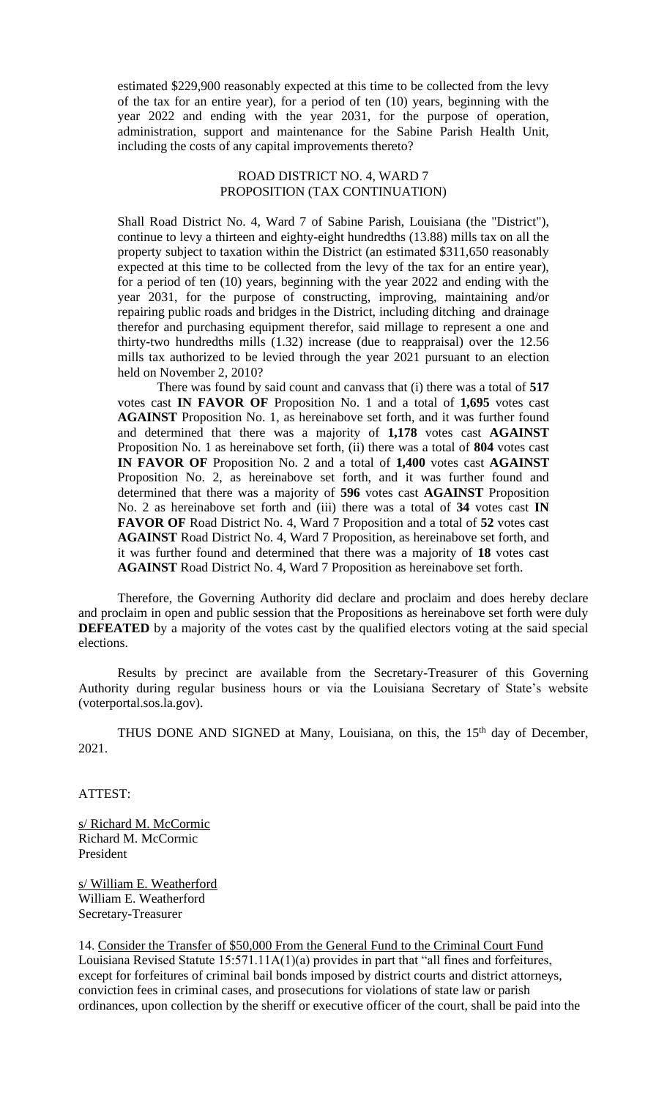estimated \$229,900 reasonably expected at this time to be collected from the levy of the tax for an entire year), for a period of ten (10) years, beginning with the year 2022 and ending with the year 2031, for the purpose of operation, administration, support and maintenance for the Sabine Parish Health Unit, including the costs of any capital improvements thereto?

# ROAD DISTRICT NO. 4, WARD 7 PROPOSITION (TAX CONTINUATION)

Shall Road District No. 4, Ward 7 of Sabine Parish, Louisiana (the "District"), continue to levy a thirteen and eighty-eight hundredths (13.88) mills tax on all the property subject to taxation within the District (an estimated \$311,650 reasonably expected at this time to be collected from the levy of the tax for an entire year), for a period of ten (10) years, beginning with the year 2022 and ending with the year 2031, for the purpose of constructing, improving, maintaining and/or repairing public roads and bridges in the District, including ditching and drainage therefor and purchasing equipment therefor, said millage to represent a one and thirty-two hundredths mills (1.32) increase (due to reappraisal) over the 12.56 mills tax authorized to be levied through the year 2021 pursuant to an election held on November 2, 2010?

There was found by said count and canvass that (i) there was a total of **517**  votes cast **IN FAVOR OF** Proposition No. 1 and a total of **1,695** votes cast **AGAINST** Proposition No. 1, as hereinabove set forth, and it was further found and determined that there was a majority of **1,178** votes cast **AGAINST** Proposition No. 1 as hereinabove set forth, (ii) there was a total of **804** votes cast **IN FAVOR OF** Proposition No. 2 and a total of **1,400** votes cast **AGAINST** Proposition No. 2, as hereinabove set forth, and it was further found and determined that there was a majority of **596** votes cast **AGAINST** Proposition No. 2 as hereinabove set forth and (iii) there was a total of **34** votes cast **IN FAVOR OF** Road District No. 4, Ward 7 Proposition and a total of **52** votes cast **AGAINST** Road District No. 4, Ward 7 Proposition, as hereinabove set forth, and it was further found and determined that there was a majority of **18** votes cast **AGAINST** Road District No. 4, Ward 7 Proposition as hereinabove set forth.

Therefore, the Governing Authority did declare and proclaim and does hereby declare and proclaim in open and public session that the Propositions as hereinabove set forth were duly **DEFEATED** by a majority of the votes cast by the qualified electors voting at the said special elections.

Results by precinct are available from the Secretary-Treasurer of this Governing Authority during regular business hours or via the Louisiana Secretary of State's website (voterportal.sos.la.gov).

THUS DONE AND SIGNED at Many, Louisiana, on this, the 15<sup>th</sup> day of December, 2021.

ATTEST:

s/ Richard M. McCormic Richard M. McCormic President

s/ William E. Weatherford William E. Weatherford Secretary-Treasurer

14. Consider the Transfer of \$50,000 From the General Fund to the Criminal Court Fund Louisiana Revised Statute 15:571.11A(1)(a) provides in part that "all fines and forfeitures, except for forfeitures of criminal bail bonds imposed by district courts and district attorneys, conviction fees in criminal cases, and prosecutions for violations of state law or parish ordinances, upon collection by the sheriff or executive officer of the court, shall be paid into the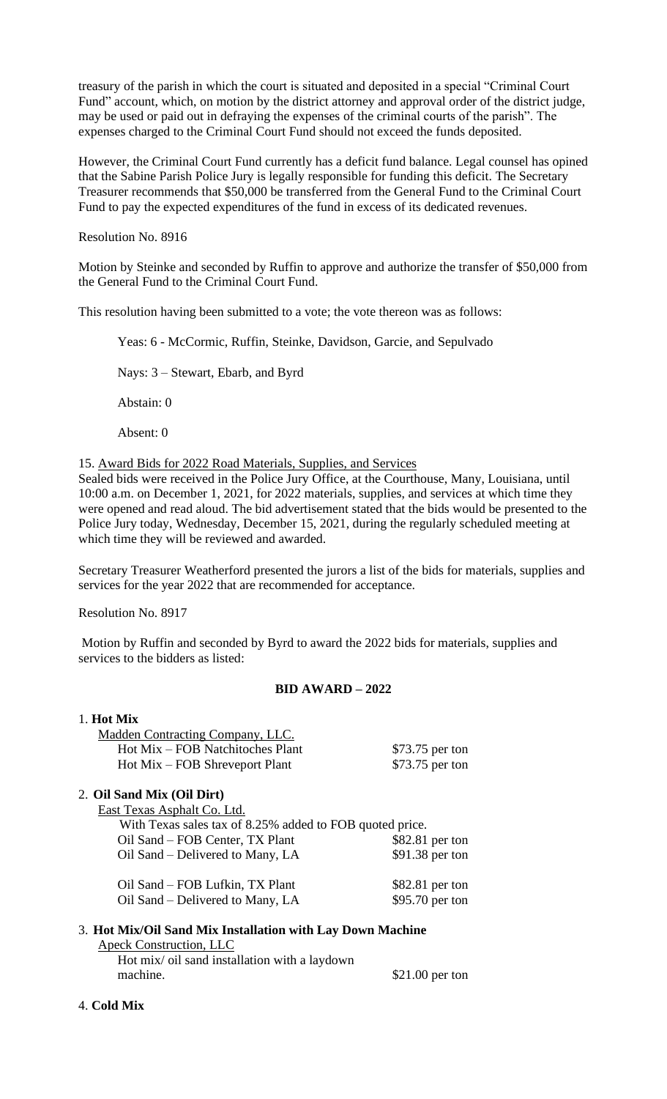treasury of the parish in which the court is situated and deposited in a special "Criminal Court Fund" account, which, on motion by the district attorney and approval order of the district judge, may be used or paid out in defraying the expenses of the criminal courts of the parish". The expenses charged to the Criminal Court Fund should not exceed the funds deposited.

However, the Criminal Court Fund currently has a deficit fund balance. Legal counsel has opined that the Sabine Parish Police Jury is legally responsible for funding this deficit. The Secretary Treasurer recommends that \$50,000 be transferred from the General Fund to the Criminal Court Fund to pay the expected expenditures of the fund in excess of its dedicated revenues.

Resolution No. 8916

Motion by Steinke and seconded by Ruffin to approve and authorize the transfer of \$50,000 from the General Fund to the Criminal Court Fund.

This resolution having been submitted to a vote; the vote thereon was as follows:

Yeas: 6 - McCormic, Ruffin, Steinke, Davidson, Garcie, and Sepulvado

Nays: 3 – Stewart, Ebarb, and Byrd

Abstain: 0

Absent: 0

15. Award Bids for 2022 Road Materials, Supplies, and Services

Sealed bids were received in the Police Jury Office, at the Courthouse, Many, Louisiana, until 10:00 a.m. on December 1, 2021, for 2022 materials, supplies, and services at which time they were opened and read aloud. The bid advertisement stated that the bids would be presented to the Police Jury today, Wednesday, December 15, 2021, during the regularly scheduled meeting at which time they will be reviewed and awarded.

Secretary Treasurer Weatherford presented the jurors a list of the bids for materials, supplies and services for the year 2022 that are recommended for acceptance.

Resolution No. 8917

Motion by Ruffin and seconded by Byrd to award the 2022 bids for materials, supplies and services to the bidders as listed:

# **BID AWARD – 2022**

| 1. Hot Mix                                                 |                  |
|------------------------------------------------------------|------------------|
| Madden Contracting Company, LLC.                           |                  |
| Hot Mix – FOB Natchitoches Plant                           | \$73.75 per ton  |
| Hot Mix – FOB Shreveport Plant                             | \$73.75 per ton  |
| 2. Oil Sand Mix (Oil Dirt)                                 |                  |
| East Texas Asphalt Co. Ltd.                                |                  |
| With Texas sales tax of 8.25% added to FOB quoted price.   |                  |
| Oil Sand – FOB Center, TX Plant                            | $$82.81$ per ton |
| Oil Sand – Delivered to Many, LA                           | \$91.38 per ton  |
| Oil Sand – FOB Lufkin, TX Plant                            | $$82.81$ per ton |
| Oil Sand – Delivered to Many, LA                           | \$95.70 per ton  |
| 3. Hot Mix/Oil Sand Mix Installation with Lay Down Machine |                  |
| <b>Apeck Construction, LLC</b>                             |                  |

Hot mix/ oil sand installation with a laydown machine.  $$21.00$  per ton

4. **Cold Mix**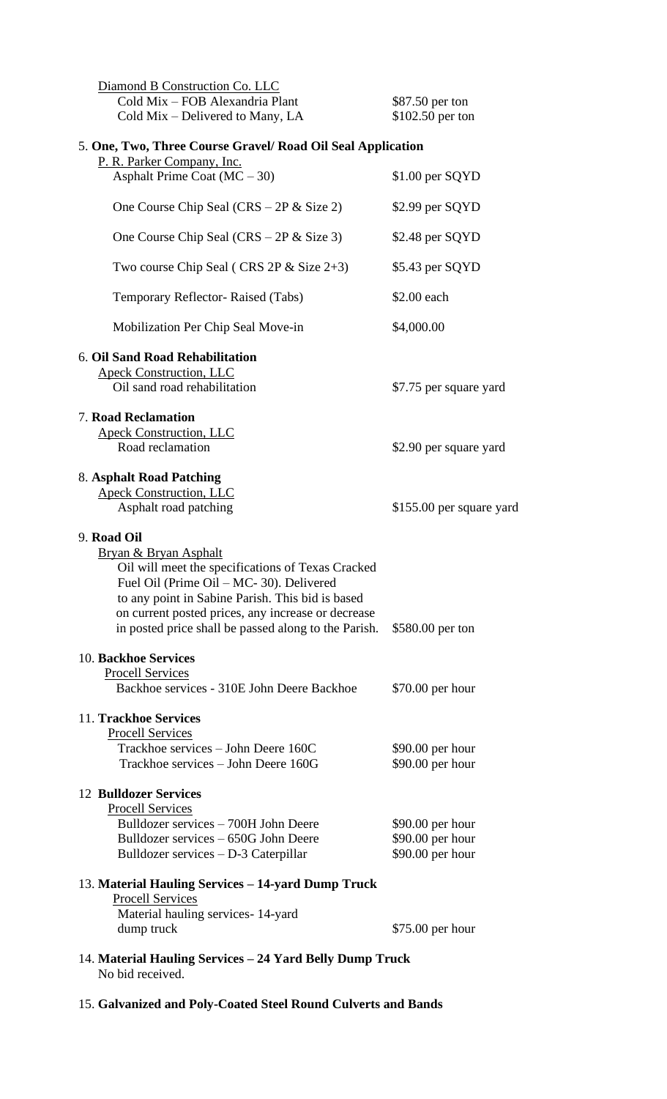| Diamond B Construction Co. LLC<br>Cold Mix - FOB Alexandria Plant<br>Cold Mix – Delivered to Many, LA                                                                                                                                                                                                              | \$87.50 per ton<br>\$102.50 per ton    |
|--------------------------------------------------------------------------------------------------------------------------------------------------------------------------------------------------------------------------------------------------------------------------------------------------------------------|----------------------------------------|
| 5. One, Two, Three Course Gravel/ Road Oil Seal Application<br>P. R. Parker Company, Inc.                                                                                                                                                                                                                          |                                        |
| Asphalt Prime Coat $(MC - 30)$                                                                                                                                                                                                                                                                                     | \$1.00 per SQYD                        |
| One Course Chip Seal $(CRS - 2P \&$ Size 2)                                                                                                                                                                                                                                                                        | \$2.99 per SQYD                        |
| One Course Chip Seal $(CRS - 2P \& Size 3)$                                                                                                                                                                                                                                                                        | \$2.48 per SQYD                        |
| Two course Chip Seal (CRS 2P $&$ Size 2+3)                                                                                                                                                                                                                                                                         | \$5.43 per SQYD                        |
| Temporary Reflector- Raised (Tabs)                                                                                                                                                                                                                                                                                 | \$2.00 each                            |
| Mobilization Per Chip Seal Move-in                                                                                                                                                                                                                                                                                 | \$4,000.00                             |
| 6. Oil Sand Road Rehabilitation<br><b>Apeck Construction, LLC</b>                                                                                                                                                                                                                                                  |                                        |
| Oil sand road rehabilitation                                                                                                                                                                                                                                                                                       | \$7.75 per square yard                 |
| <b>7. Road Reclamation</b><br><b>Apeck Construction, LLC</b>                                                                                                                                                                                                                                                       |                                        |
| Road reclamation                                                                                                                                                                                                                                                                                                   | \$2.90 per square yard                 |
| 8. Asphalt Road Patching<br><b>Apeck Construction, LLC</b><br>Asphalt road patching                                                                                                                                                                                                                                | \$155.00 per square yard               |
| 9. Road Oil<br><b>Bryan &amp; Bryan Asphalt</b><br>Oil will meet the specifications of Texas Cracked<br>Fuel Oil (Prime Oil – MC- 30). Delivered<br>to any point in Sabine Parish. This bid is based<br>on current posted prices, any increase or decrease<br>in posted price shall be passed along to the Parish. | \$580.00 per ton                       |
| 10. Backhoe Services<br><b>Procell Services</b><br>Backhoe services - 310E John Deere Backhoe                                                                                                                                                                                                                      | $$70.00$ per hour                      |
| 11. Trackhoe Services<br><b>Procell Services</b><br>Trackhoe services – John Deere 160C<br>Trackhoe services – John Deere 160G                                                                                                                                                                                     | $$90.00$ per hour<br>$$90.00$ per hour |
| <b>12 Bulldozer Services</b><br><b>Procell Services</b><br>Bulldozer services – 700H John Deere<br>Bulldozer services – 650G John Deere                                                                                                                                                                            | $$90.00$ per hour<br>\$90.00 per hour  |
| Bulldozer services - D-3 Caterpillar                                                                                                                                                                                                                                                                               | \$90.00 per hour                       |
| 13. Material Hauling Services – 14-yard Dump Truck<br><b>Procell Services</b><br>Material hauling services-14-yard                                                                                                                                                                                                 |                                        |
| dump truck                                                                                                                                                                                                                                                                                                         | \$75.00 per hour                       |
| 14. Material Hauling Services - 24 Yard Belly Dump Truck<br>No bid received.                                                                                                                                                                                                                                       |                                        |

15. **Galvanized and Poly-Coated Steel Round Culverts and Bands**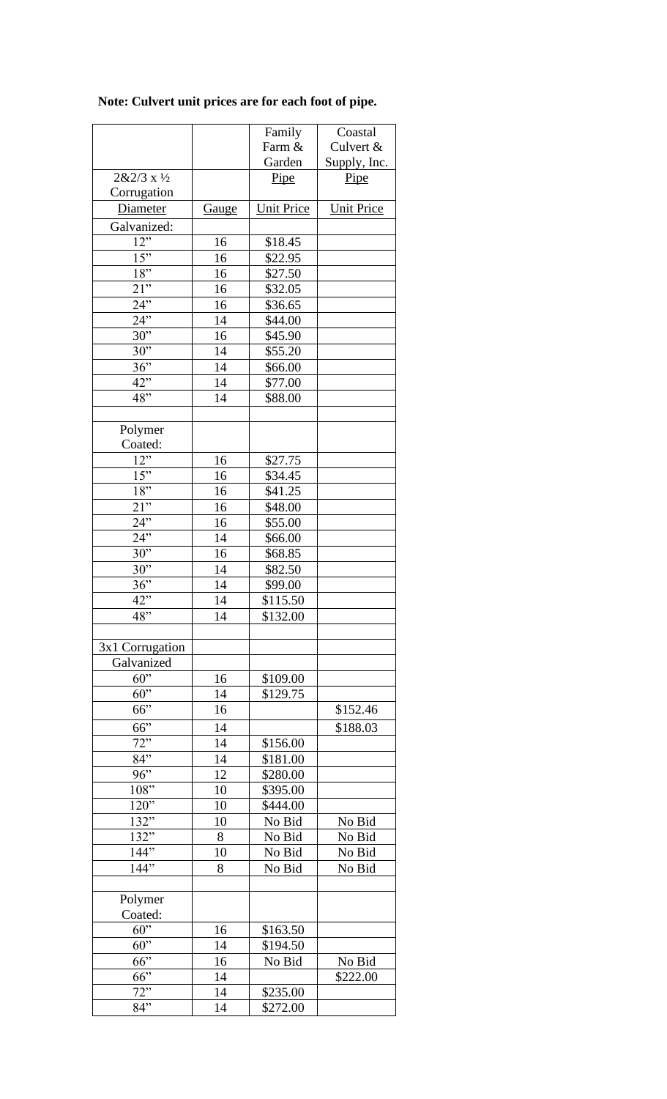# **Note: Culvert unit prices are for each foot of pipe.**

|                     |              | Family            | Coastal           |
|---------------------|--------------|-------------------|-------------------|
|                     |              | Farm &            | Culvert &         |
|                     |              | Garden            | Supply, Inc.      |
| $2&2/3x\frac{1}{2}$ |              | Pipe              | Pipe              |
| Corrugation         |              |                   |                   |
| <b>Diameter</b>     | <b>Gauge</b> | <b>Unit Price</b> | <b>Unit Price</b> |
| Galvanized:         |              |                   |                   |
|                     |              |                   |                   |
| 12"                 | 16           | \$18.45           |                   |
| 15"                 | 16           | \$22.95           |                   |
| 18"                 | 16           | \$27.50           |                   |
| 21"                 | 16           | \$32.05           |                   |
| $24$ <sup>77</sup>  | 16           | \$36.65           |                   |
| $24$ "              | 14           | \$44.00           |                   |
| 30"                 | 16           | \$45.90           |                   |
| 30"                 | 14           | \$55.20           |                   |
| 36"                 | 14           | \$66.00           |                   |
| 42"                 | 14           | \$77.00           |                   |
| 48"                 | 14           | \$88.00           |                   |
|                     |              |                   |                   |
|                     |              |                   |                   |
| Polymer             |              |                   |                   |
| Coated:             |              |                   |                   |
| 12"                 | 16           | \$27.75           |                   |
| 15"                 | 16           | \$34.45           |                   |
| 18"                 | 16           | \$41.25           |                   |
| 21"                 | 16           | \$48.00           |                   |
| 24"                 | 16           | \$55.00           |                   |
| 24                  | 14           | \$66.00           |                   |
| $30$ "              | 16           | \$68.85           |                   |
|                     |              |                   |                   |
| 30"                 | 14           | \$82.50           |                   |
| 36"                 | 14           | \$99.00           |                   |
| 42"                 | 14           | \$115.50          |                   |
| 48"                 | 14           | \$132.00          |                   |
|                     |              |                   |                   |
| 3x1 Corrugation     |              |                   |                   |
| Galvanized          |              |                   |                   |
| 60"                 | 16           | \$109.00          |                   |
| 60"                 | 14           | \$129.75          |                   |
| 66"                 | 16           |                   | \$152.46          |
|                     |              |                   |                   |
| 66"                 | 14           |                   | \$188.03          |
| 72                  | 14           | \$156.00          |                   |
| 84"                 | 14           | \$181.00          |                   |
| 96"                 | 12           | \$280.00          |                   |
| 108"                | 10           | \$395.00          |                   |
| $120$ <sup>7</sup>  | 10           | \$444.00          |                   |
| 132                 | 10           | No Bid            | No Bid            |
| $132^{17}$          | 8            | No Bid            | No Bid            |
| 144                 | 10           | No Bid            | No Bid            |
| 144"                | 8            | No Bid            | No Bid            |
|                     |              |                   |                   |
|                     |              |                   |                   |
| Polymer             |              |                   |                   |
| Coated:             |              |                   |                   |
| 60"                 | 16           | \$163.50          |                   |
| 60"                 | 14           | \$194.50          |                   |
| 66"                 | 16           | No Bid            | No Bid            |
| 66"                 | 14           |                   | \$222.00          |
| $72$ "              | 14           | \$235.00          |                   |
| 84"                 | 14           | \$272.00          |                   |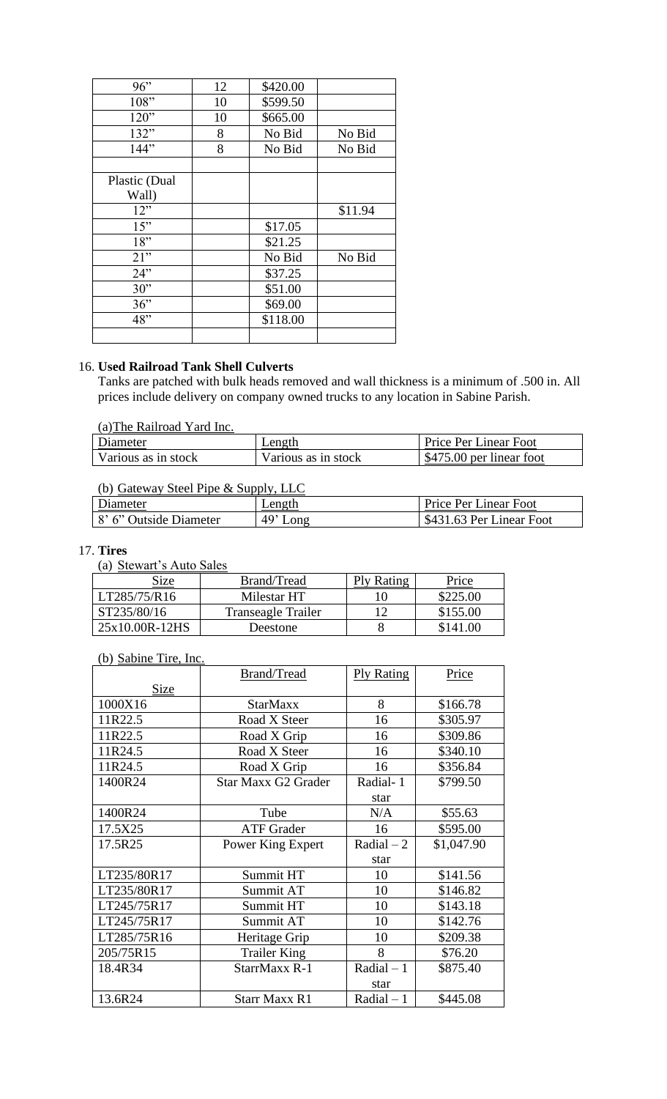| 96"           | 12 | \$420.00 |         |
|---------------|----|----------|---------|
| 108"          | 10 | \$599.50 |         |
| 120"          | 10 | \$665.00 |         |
| 132"          | 8  | No Bid   | No Bid  |
| 144"          | 8  | No Bid   | No Bid  |
|               |    |          |         |
| Plastic (Dual |    |          |         |
| Wall)         |    |          |         |
| 12"           |    |          | \$11.94 |
| 15"           |    | \$17.05  |         |
| 18"           |    | \$21.25  |         |
| 21"           |    | No Bid   | No Bid  |
| 24"           |    | \$37.25  |         |
| 30"           |    | \$51.00  |         |
| 36"           |    | \$69.00  |         |
| 48"           |    | \$118.00 |         |
|               |    |          |         |

# 16. **Used Railroad Tank Shell Culverts**

Tanks are patched with bulk heads removed and wall thickness is a minimum of .500 in. All prices include delivery on company owned trucks to any location in Sabine Parish.

| (a) The Railroad Yard Inc. |  |  |
|----------------------------|--|--|
|----------------------------|--|--|

| Diameter            | Length              | <b>Price Per Linear Foot</b> |
|---------------------|---------------------|------------------------------|
| Various as in stock | Various as in stock | \$475.00 per linear foot     |

# (b) Gateway Steel Pipe & Supply, LLC

| Diameter               | Length     | Price Per Linear Foot    |
|------------------------|------------|--------------------------|
| 8' 6" Outside Diameter | $49'$ Long | \$431.63 Per Linear Foot |

# 17. **Tires**

(a) Stewart's Auto Sales

| Size           | Brand/Tread        | Ply Rating | Price    |
|----------------|--------------------|------------|----------|
| LT285/75/R16   | Milestar HT        |            | \$225.00 |
| ST235/80/16    | Transeagle Trailer |            | \$155.00 |
| 25x10.00R-12HS | Deestone           |            | $\Omega$ |

# (b) Sabine Tire, Inc.

|             | <b>Brand/Tread</b>         | <b>Ply Rating</b> | Price      |
|-------------|----------------------------|-------------------|------------|
| <b>Size</b> |                            |                   |            |
| 1000X16     | <b>StarMaxx</b>            | 8                 | \$166.78   |
| 11R22.5     | Road X Steer               | 16                | \$305.97   |
| 11R22.5     | Road X Grip                | 16                | \$309.86   |
| 11R24.5     | Road X Steer               | 16                | \$340.10   |
| 11R24.5     | Road X Grip                | 16                | \$356.84   |
| 1400R24     | <b>Star Maxx G2 Grader</b> | Radial-1          | \$799.50   |
|             |                            | star              |            |
| 1400R24     | Tube                       | N/A               | \$55.63    |
| 17.5X25     | <b>ATF</b> Grader          | 16                | \$595.00   |
| 17.5R25     | Power King Expert          | Radial $-2$       | \$1,047.90 |
|             |                            | star              |            |
| LT235/80R17 | Summit HT                  | 10                | \$141.56   |
| LT235/80R17 | Summit AT                  | 10                | \$146.82   |
| LT245/75R17 | Summit HT                  | 10                | \$143.18   |
| LT245/75R17 | Summit AT                  | 10                | \$142.76   |
| LT285/75R16 | Heritage Grip              | 10                | \$209.38   |
| 205/75R15   | <b>Trailer King</b>        | 8                 | \$76.20    |
| 18.4R34     | StarrMaxx R-1              | $Radial-1$        | \$875.40   |
|             |                            | star              |            |
| 13.6R24     | <b>Starr Maxx R1</b>       | Radial $-1$       | \$445.08   |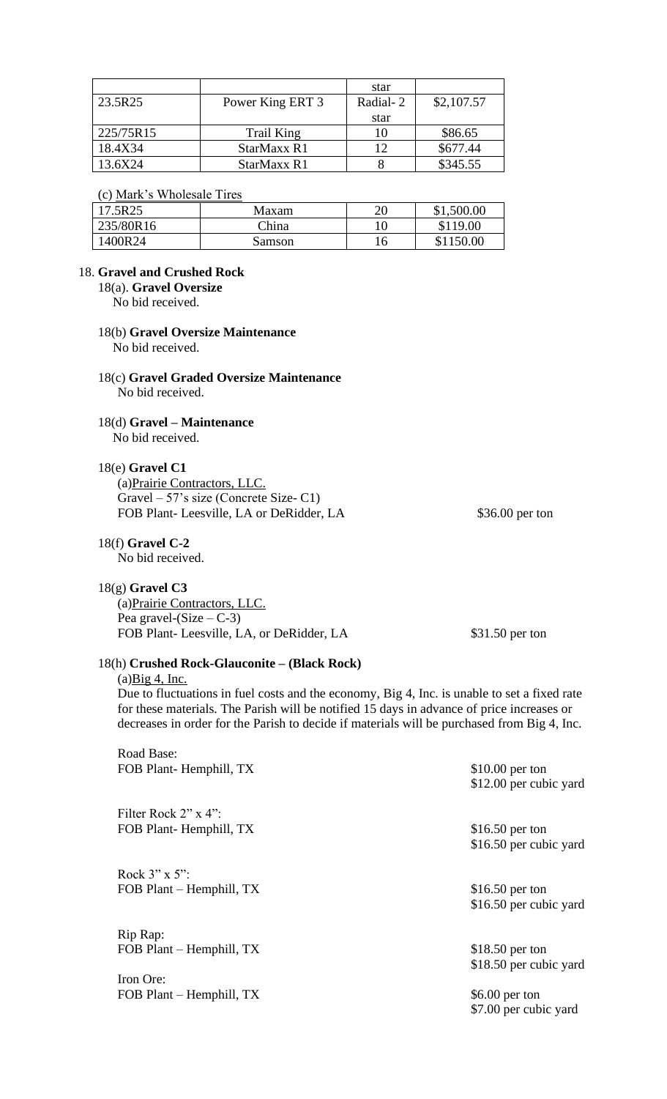|           |                  | star     |            |
|-----------|------------------|----------|------------|
| 23.5R25   | Power King ERT 3 | Radial-2 | \$2,107.57 |
|           |                  | star     |            |
| 225/75R15 | Trail King       | 10       | \$86.65    |
| 18.4X34   | StarMaxx R1      | 12       | \$677.44   |
| 13.6X24   | StarMaxx R1      |          | \$345.55   |

#### (c) Mark's Wholesale Tires

| 17.5R25   | Maxam  | 20 | \$1,500.00 |
|-----------|--------|----|------------|
| 235/80R16 | China  |    | \$119.00   |
| 1400R24   | Samson | 16 | \$1150.00  |

# 18. **Gravel and Crushed Rock**

18(a). **Gravel Oversize**

No bid received.

#### 18(b) **Gravel Oversize Maintenance** No bid received.

## 18(c) **Gravel Graded Oversize Maintenance** No bid received.

# 18(d) **Gravel – Maintenance**

No bid received.

# 18(e) **Gravel C1**

(a)Prairie Contractors, LLC. Gravel – 57's size (Concrete Size- C1) FOB Plant-Leesville, LA or DeRidder, LA  $$36.00$  per ton

## 18(f) **Gravel C-2**

No bid received.

## 18(g) **Gravel C3**

(a)Prairie Contractors, LLC. Pea gravel- $(Size - C-3)$ FOB Plant-Leesville, LA, or DeRidder, LA \$31.50 per ton

# 18(h) **Crushed Rock-Glauconite – (Black Rock)**

 $(a)$ Big 4, Inc.

Due to fluctuations in fuel costs and the economy, Big 4, Inc. is unable to set a fixed rate for these materials. The Parish will be notified 15 days in advance of price increases or decreases in order for the Parish to decide if materials will be purchased from Big 4, Inc.

Road Base: FOB Plant- Hemphill, TX \$10.00 per ton

Filter Rock 2" x 4": FOB Plant- Hemphill, TX \$16.50 per ton

Rock 3" x 5": FOB Plant – Hemphill, TX \$16.50 per ton

Rip Rap: FOB Plant – Hemphill, TX \$18.50 per ton

Iron Ore: FOB Plant – Hemphill, TX  $$6.00 \text{ per ton}$ 

\$16.50 per cubic yard

\$12.00 per cubic yard

\$16.50 per cubic yard

\$18.50 per cubic yard

\$7.00 per cubic yard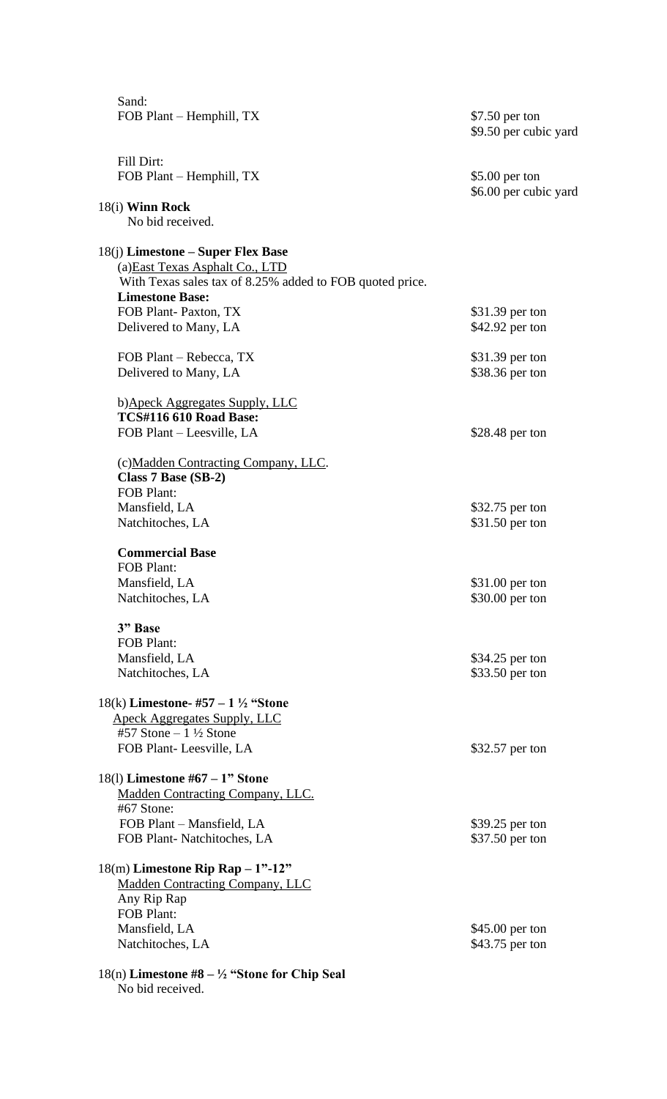| Sand:<br>FOB Plant – Hemphill, TX                                              | \$7.50 per ton                           |
|--------------------------------------------------------------------------------|------------------------------------------|
|                                                                                | \$9.50 per cubic yard                    |
| Fill Dirt:                                                                     |                                          |
| FOB Plant - Hemphill, TX                                                       | $$5.00$ per ton<br>\$6.00 per cubic yard |
| 18(i) Winn Rock                                                                |                                          |
| No bid received.                                                               |                                          |
| 18(j) Limestone – Super Flex Base                                              |                                          |
| (a) East Texas Asphalt Co., LTD                                                |                                          |
| With Texas sales tax of 8.25% added to FOB quoted price.                       |                                          |
| <b>Limestone Base:</b>                                                         |                                          |
| FOB Plant-Paxton, TX<br>Delivered to Many, LA                                  | \$31.39 per ton<br>\$42.92 per ton       |
|                                                                                |                                          |
| FOB Plant - Rebecca, TX                                                        | \$31.39 per ton                          |
| Delivered to Many, LA                                                          | \$38.36 per ton                          |
|                                                                                |                                          |
| b) Apeck Aggregates Supply, LLC<br><b>TCS#116 610 Road Base:</b>               |                                          |
| FOB Plant – Leesville, LA                                                      | \$28.48 per ton                          |
|                                                                                |                                          |
| (c)Madden Contracting Company, LLC.                                            |                                          |
| Class $7$ Base (SB-2)                                                          |                                          |
| <b>FOB Plant:</b>                                                              |                                          |
| Mansfield, LA                                                                  | \$32.75 per ton                          |
| Natchitoches, LA                                                               | \$31.50 per ton                          |
| <b>Commercial Base</b>                                                         |                                          |
| <b>FOB Plant:</b>                                                              |                                          |
| Mansfield, LA                                                                  | \$31.00 per ton                          |
| Natchitoches, LA                                                               | \$30.00 per ton                          |
| 3" Base                                                                        |                                          |
| <b>FOB Plant:</b>                                                              |                                          |
| Mansfield, LA                                                                  | \$34.25 per ton                          |
| Natchitoches, LA                                                               | \$33.50 per ton                          |
| 18(k) Limestone- #57 – 1 $\frac{1}{2}$ "Stone                                  |                                          |
| <b>Apeck Aggregates Supply, LLC</b>                                            |                                          |
| #57 Stone $-1\frac{1}{2}$ Stone                                                |                                          |
| FOB Plant-Leesville, LA                                                        | \$32.57 per ton                          |
|                                                                                |                                          |
| 18(1) Limestone $#67 - 1"$ Stone                                               |                                          |
| <b>Madden Contracting Company, LLC.</b><br>#67 Stone:                          |                                          |
| FOB Plant - Mansfield, LA                                                      | \$39.25 per ton                          |
| FOB Plant-Natchitoches, LA                                                     | \$37.50 per ton                          |
|                                                                                |                                          |
| $18(m)$ Limestone Rip Rap $-1$ "-12"<br><b>Madden Contracting Company, LLC</b> |                                          |
| Any Rip Rap                                                                    |                                          |
| <b>FOB Plant:</b>                                                              |                                          |
| Mansfield, LA                                                                  | \$45.00 per ton                          |
| Natchitoches, LA                                                               | \$43.75 per ton                          |
|                                                                                |                                          |
| $18(n)$ Limestone #8 – ½ "Stone for Chip Seal<br>No bid received.              |                                          |
|                                                                                |                                          |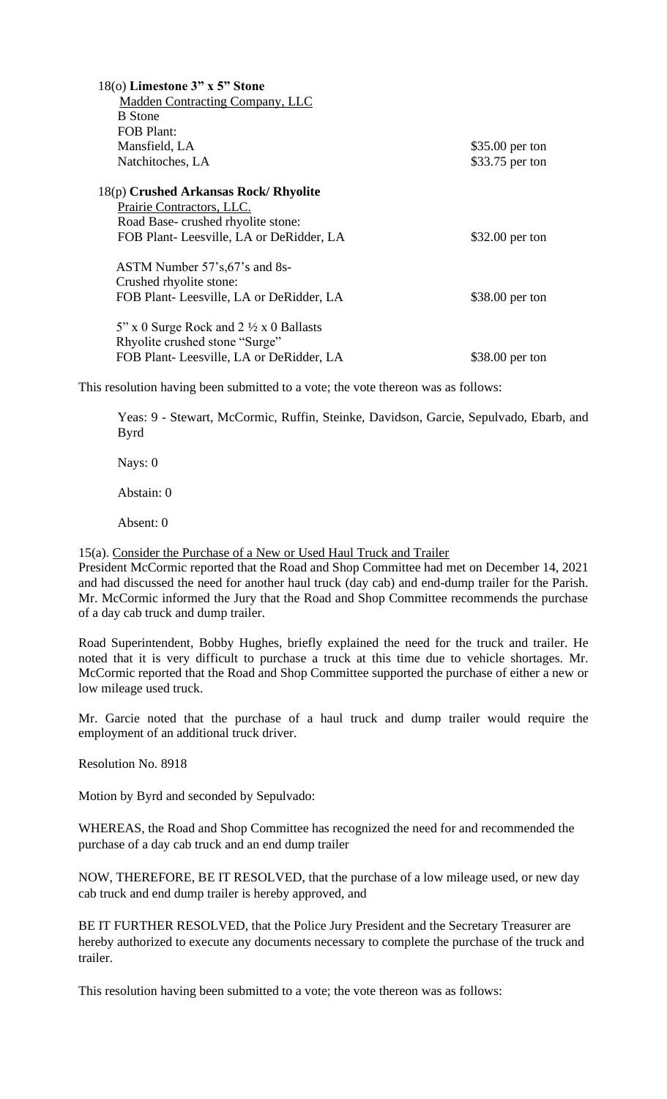| 18(o) Limestone 3" x 5" Stone<br><b>Madden Contracting Company, LLC</b><br><b>B</b> Stone |                 |
|-------------------------------------------------------------------------------------------|-----------------|
| <b>FOB Plant:</b><br>Mansfield, LA                                                        | \$35.00 per ton |
| Natchitoches, LA                                                                          | \$33.75 per ton |
|                                                                                           |                 |
| 18(p) Crushed Arkansas Rock/ Rhyolite                                                     |                 |
| Prairie Contractors, LLC.                                                                 |                 |
| Road Base-crushed rhyolite stone:                                                         |                 |
| FOB Plant-Leesville, LA or DeRidder, LA                                                   | \$32.00 per ton |
| ASTM Number 57's, 67's and 8s-<br>Crushed rhyolite stone:                                 |                 |
| FOB Plant-Leesville, LA or DeRidder, LA                                                   | \$38.00 per ton |
| $5$ " x 0 Surge Rock and 2 $\frac{1}{2}$ x 0 Ballasts<br>Rhyolite crushed stone "Surge"   |                 |
| FOB Plant-Leesville, LA or DeRidder, LA                                                   | \$38.00 per ton |

This resolution having been submitted to a vote; the vote thereon was as follows:

Yeas: 9 - Stewart, McCormic, Ruffin, Steinke, Davidson, Garcie, Sepulvado, Ebarb, and Byrd

Nays: 0

Abstain: 0

Absent: 0

15(a). Consider the Purchase of a New or Used Haul Truck and Trailer

President McCormic reported that the Road and Shop Committee had met on December 14, 2021 and had discussed the need for another haul truck (day cab) and end-dump trailer for the Parish. Mr. McCormic informed the Jury that the Road and Shop Committee recommends the purchase of a day cab truck and dump trailer.

Road Superintendent, Bobby Hughes, briefly explained the need for the truck and trailer. He noted that it is very difficult to purchase a truck at this time due to vehicle shortages. Mr. McCormic reported that the Road and Shop Committee supported the purchase of either a new or low mileage used truck.

Mr. Garcie noted that the purchase of a haul truck and dump trailer would require the employment of an additional truck driver.

Resolution No. 8918

Motion by Byrd and seconded by Sepulvado:

WHEREAS, the Road and Shop Committee has recognized the need for and recommended the purchase of a day cab truck and an end dump trailer

NOW, THEREFORE, BE IT RESOLVED, that the purchase of a low mileage used, or new day cab truck and end dump trailer is hereby approved, and

BE IT FURTHER RESOLVED, that the Police Jury President and the Secretary Treasurer are hereby authorized to execute any documents necessary to complete the purchase of the truck and trailer.

This resolution having been submitted to a vote; the vote thereon was as follows: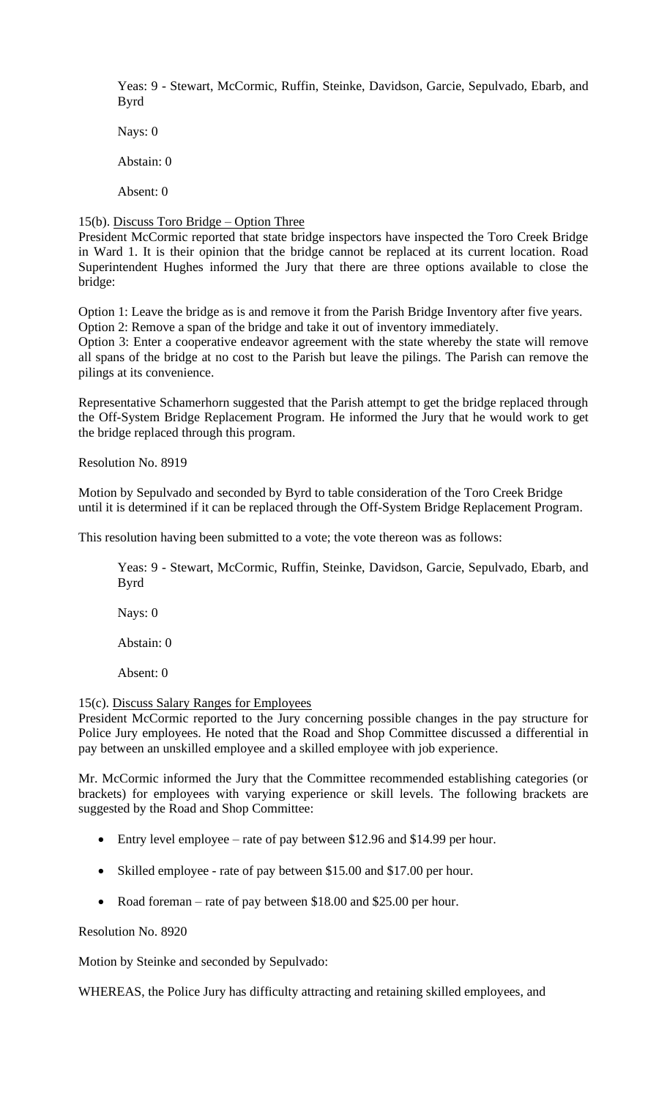Yeas: 9 - Stewart, McCormic, Ruffin, Steinke, Davidson, Garcie, Sepulvado, Ebarb, and Byrd

Nays: 0

Abstain: 0

Absent: 0

# 15(b). Discuss Toro Bridge – Option Three

President McCormic reported that state bridge inspectors have inspected the Toro Creek Bridge in Ward 1. It is their opinion that the bridge cannot be replaced at its current location. Road Superintendent Hughes informed the Jury that there are three options available to close the bridge:

Option 1: Leave the bridge as is and remove it from the Parish Bridge Inventory after five years. Option 2: Remove a span of the bridge and take it out of inventory immediately.

Option 3: Enter a cooperative endeavor agreement with the state whereby the state will remove all spans of the bridge at no cost to the Parish but leave the pilings. The Parish can remove the pilings at its convenience.

Representative Schamerhorn suggested that the Parish attempt to get the bridge replaced through the Off-System Bridge Replacement Program. He informed the Jury that he would work to get the bridge replaced through this program.

Resolution No. 8919

Motion by Sepulvado and seconded by Byrd to table consideration of the Toro Creek Bridge until it is determined if it can be replaced through the Off-System Bridge Replacement Program.

This resolution having been submitted to a vote; the vote thereon was as follows:

Yeas: 9 - Stewart, McCormic, Ruffin, Steinke, Davidson, Garcie, Sepulvado, Ebarb, and Byrd

Nays: 0

Abstain: 0

Absent: 0

#### 15(c). Discuss Salary Ranges for Employees

President McCormic reported to the Jury concerning possible changes in the pay structure for Police Jury employees. He noted that the Road and Shop Committee discussed a differential in pay between an unskilled employee and a skilled employee with job experience.

Mr. McCormic informed the Jury that the Committee recommended establishing categories (or brackets) for employees with varying experience or skill levels. The following brackets are suggested by the Road and Shop Committee:

- Entry level employee rate of pay between \$12.96 and \$14.99 per hour.
- Skilled employee rate of pay between \$15.00 and \$17.00 per hour.
- Road foreman rate of pay between \$18.00 and \$25.00 per hour.

Resolution No. 8920

Motion by Steinke and seconded by Sepulvado:

WHEREAS, the Police Jury has difficulty attracting and retaining skilled employees, and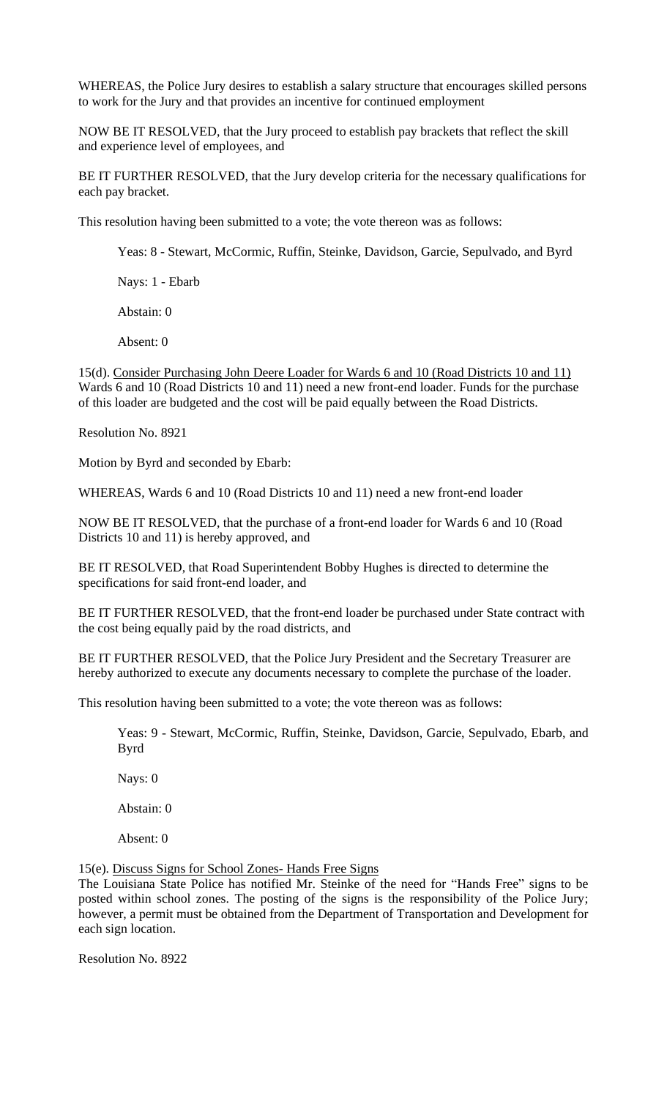WHEREAS, the Police Jury desires to establish a salary structure that encourages skilled persons to work for the Jury and that provides an incentive for continued employment

NOW BE IT RESOLVED, that the Jury proceed to establish pay brackets that reflect the skill and experience level of employees, and

BE IT FURTHER RESOLVED, that the Jury develop criteria for the necessary qualifications for each pay bracket.

This resolution having been submitted to a vote; the vote thereon was as follows:

Yeas: 8 - Stewart, McCormic, Ruffin, Steinke, Davidson, Garcie, Sepulvado, and Byrd

Nays: 1 - Ebarb

Abstain: 0

Absent: 0

15(d). Consider Purchasing John Deere Loader for Wards 6 and 10 (Road Districts 10 and 11) Wards 6 and 10 (Road Districts 10 and 11) need a new front-end loader. Funds for the purchase of this loader are budgeted and the cost will be paid equally between the Road Districts.

Resolution No. 8921

Motion by Byrd and seconded by Ebarb:

WHEREAS, Wards 6 and 10 (Road Districts 10 and 11) need a new front-end loader

NOW BE IT RESOLVED, that the purchase of a front-end loader for Wards 6 and 10 (Road Districts 10 and 11) is hereby approved, and

BE IT RESOLVED, that Road Superintendent Bobby Hughes is directed to determine the specifications for said front-end loader, and

BE IT FURTHER RESOLVED, that the front-end loader be purchased under State contract with the cost being equally paid by the road districts, and

BE IT FURTHER RESOLVED, that the Police Jury President and the Secretary Treasurer are hereby authorized to execute any documents necessary to complete the purchase of the loader.

This resolution having been submitted to a vote; the vote thereon was as follows:

Yeas: 9 - Stewart, McCormic, Ruffin, Steinke, Davidson, Garcie, Sepulvado, Ebarb, and Byrd

Nays: 0

Abstain: 0

Absent: 0

15(e). Discuss Signs for School Zones- Hands Free Signs

The Louisiana State Police has notified Mr. Steinke of the need for "Hands Free" signs to be posted within school zones. The posting of the signs is the responsibility of the Police Jury; however, a permit must be obtained from the Department of Transportation and Development for each sign location.

Resolution No. 8922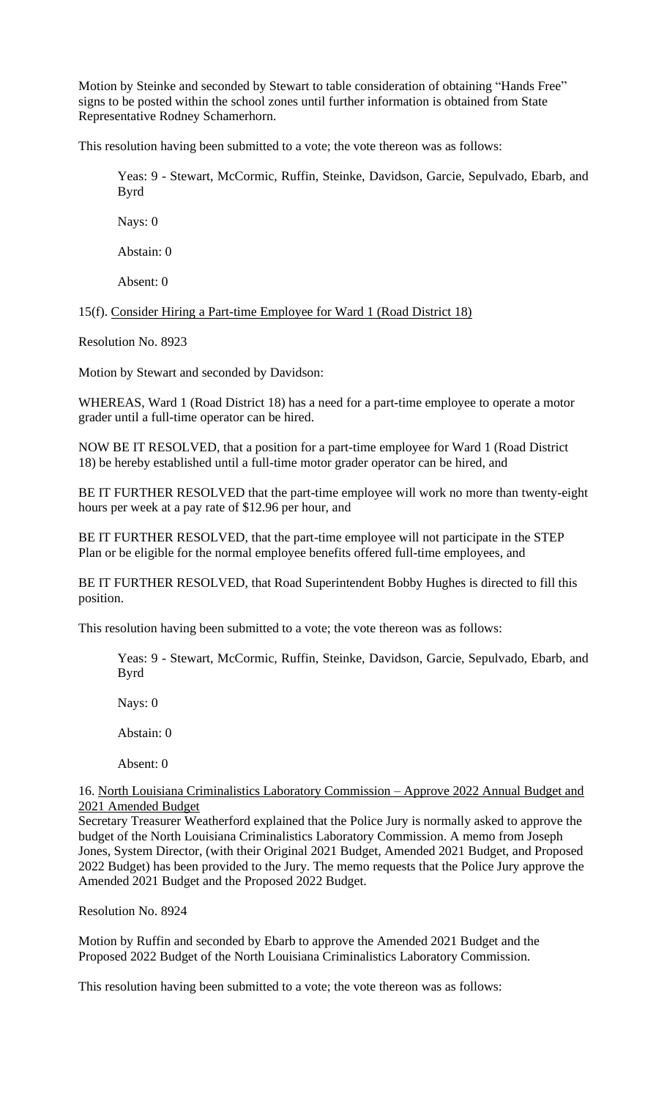Motion by Steinke and seconded by Stewart to table consideration of obtaining "Hands Free" signs to be posted within the school zones until further information is obtained from State Representative Rodney Schamerhorn.

This resolution having been submitted to a vote; the vote thereon was as follows:

Yeas: 9 - Stewart, McCormic, Ruffin, Steinke, Davidson, Garcie, Sepulvado, Ebarb, and Byrd

Nays: 0

Abstain: 0

Absent: 0

15(f). Consider Hiring a Part-time Employee for Ward 1 (Road District 18)

Resolution No. 8923

Motion by Stewart and seconded by Davidson:

WHEREAS, Ward 1 (Road District 18) has a need for a part-time employee to operate a motor grader until a full-time operator can be hired.

NOW BE IT RESOLVED, that a position for a part-time employee for Ward 1 (Road District 18) be hereby established until a full-time motor grader operator can be hired, and

BE IT FURTHER RESOLVED that the part-time employee will work no more than twenty-eight hours per week at a pay rate of \$12.96 per hour, and

BE IT FURTHER RESOLVED, that the part-time employee will not participate in the STEP Plan or be eligible for the normal employee benefits offered full-time employees, and

BE IT FURTHER RESOLVED, that Road Superintendent Bobby Hughes is directed to fill this position.

This resolution having been submitted to a vote; the vote thereon was as follows:

Yeas: 9 - Stewart, McCormic, Ruffin, Steinke, Davidson, Garcie, Sepulvado, Ebarb, and Byrd

Nays: 0

Abstain: 0

Absent: 0

16. North Louisiana Criminalistics Laboratory Commission – Approve 2022 Annual Budget and 2021 Amended Budget

Secretary Treasurer Weatherford explained that the Police Jury is normally asked to approve the budget of the North Louisiana Criminalistics Laboratory Commission. A memo from Joseph Jones, System Director, (with their Original 2021 Budget, Amended 2021 Budget, and Proposed 2022 Budget) has been provided to the Jury. The memo requests that the Police Jury approve the Amended 2021 Budget and the Proposed 2022 Budget.

Resolution No. 8924

Motion by Ruffin and seconded by Ebarb to approve the Amended 2021 Budget and the Proposed 2022 Budget of the North Louisiana Criminalistics Laboratory Commission.

This resolution having been submitted to a vote; the vote thereon was as follows: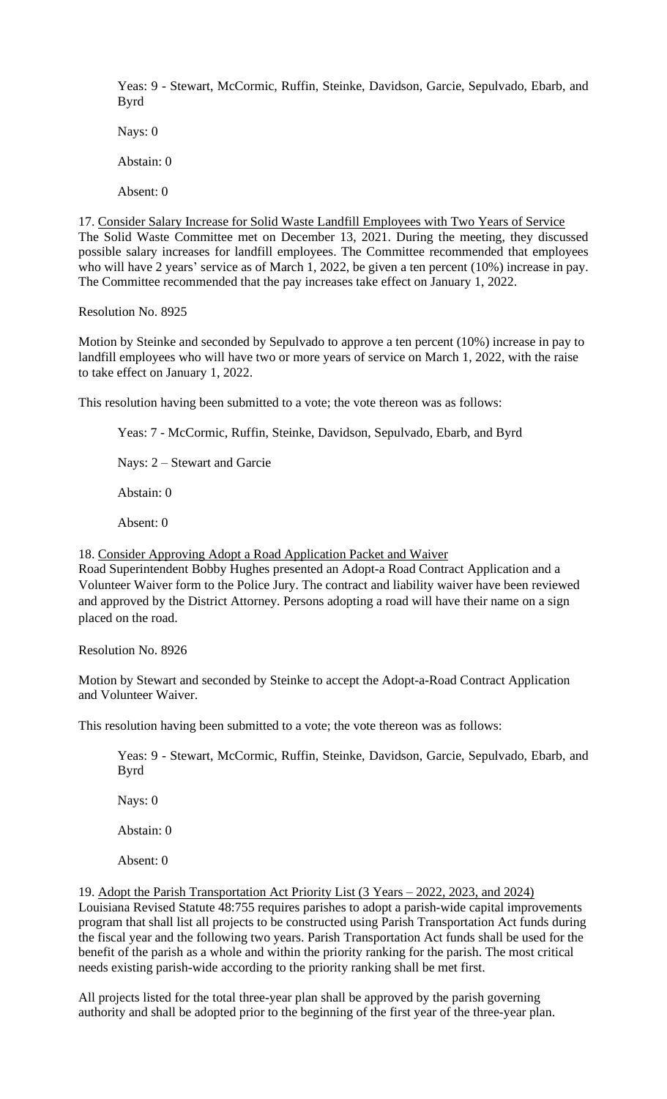Yeas: 9 - Stewart, McCormic, Ruffin, Steinke, Davidson, Garcie, Sepulvado, Ebarb, and Byrd

Nays: 0 Abstain: 0 Absent: 0

17. Consider Salary Increase for Solid Waste Landfill Employees with Two Years of Service The Solid Waste Committee met on December 13, 2021. During the meeting, they discussed possible salary increases for landfill employees. The Committee recommended that employees who will have 2 years' service as of March 1, 2022, be given a ten percent (10%) increase in pay. The Committee recommended that the pay increases take effect on January 1, 2022.

Resolution No. 8925

Motion by Steinke and seconded by Sepulvado to approve a ten percent (10%) increase in pay to landfill employees who will have two or more years of service on March 1, 2022, with the raise to take effect on January 1, 2022.

This resolution having been submitted to a vote; the vote thereon was as follows:

Yeas: 7 - McCormic, Ruffin, Steinke, Davidson, Sepulvado, Ebarb, and Byrd

Nays: 2 – Stewart and Garcie

Abstain: 0

Absent: 0

18. Consider Approving Adopt a Road Application Packet and Waiver Road Superintendent Bobby Hughes presented an Adopt-a Road Contract Application and a Volunteer Waiver form to the Police Jury. The contract and liability waiver have been reviewed and approved by the District Attorney. Persons adopting a road will have their name on a sign

Resolution No. 8926

placed on the road.

Motion by Stewart and seconded by Steinke to accept the Adopt-a-Road Contract Application and Volunteer Waiver.

This resolution having been submitted to a vote; the vote thereon was as follows:

Yeas: 9 - Stewart, McCormic, Ruffin, Steinke, Davidson, Garcie, Sepulvado, Ebarb, and Byrd

Nays: 0

Abstain: 0

Absent: 0

19. Adopt the Parish Transportation Act Priority List (3 Years – 2022, 2023, and 2024) Louisiana Revised Statute 48:755 requires parishes to adopt a parish-wide capital improvements program that shall list all projects to be constructed using Parish Transportation Act funds during the fiscal year and the following two years. Parish Transportation Act funds shall be used for the benefit of the parish as a whole and within the priority ranking for the parish. The most critical needs existing parish-wide according to the priority ranking shall be met first.

All projects listed for the total three-year plan shall be approved by the parish governing authority and shall be adopted prior to the beginning of the first year of the three-year plan.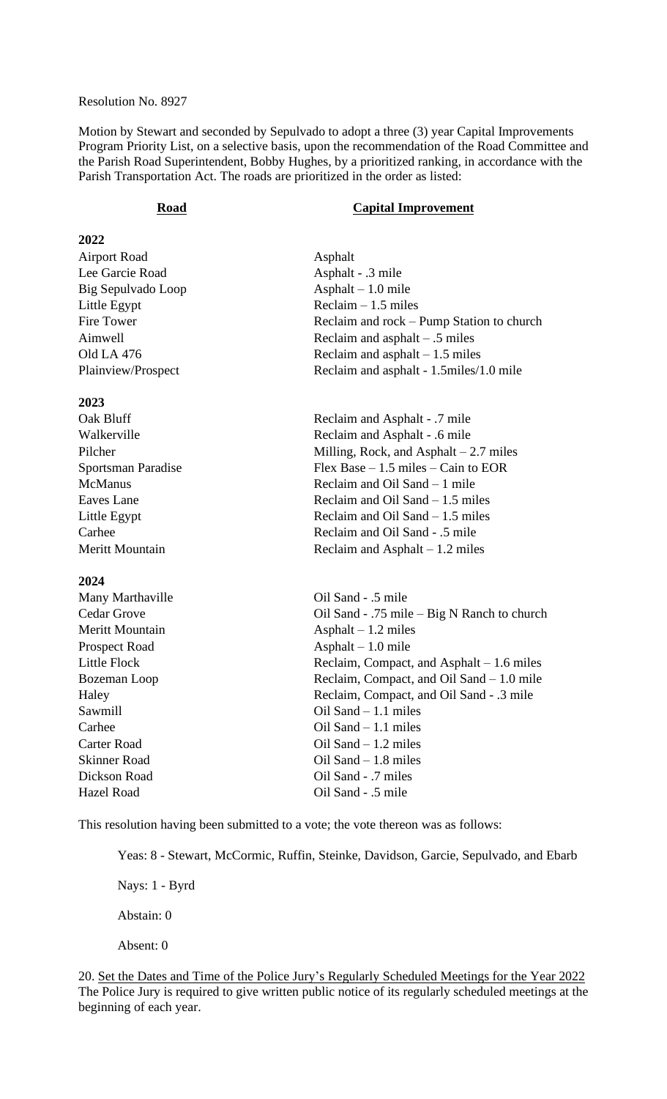#### Resolution No. 8927

Motion by Stewart and seconded by Sepulvado to adopt a three (3) year Capital Improvements Program Priority List, on a selective basis, upon the recommendation of the Road Committee and the Parish Road Superintendent, Bobby Hughes, by a prioritized ranking, in accordance with the Parish Transportation Act. The roads are prioritized in the order as listed:

#### **Road Capital Improvement**

# **2022**

| <b>Airport Road</b> |
|---------------------|
| Lee Garcie Road     |
| Big Sepulvado Loop  |
| Little Egypt        |
| Fire Tower          |
| Aimwell             |
| Old LA 476          |
| Plainview/Prospect  |

#### **2023**

#### **2024**

Asphalt Asphalt - .3 mile Asphalt – 1.0 mile  $Reclain - 1.5 miles$ Reclaim and rock – Pump Station to church Reclaim and asphalt – .5 miles Reclaim and asphalt  $-1.5$  miles Reclaim and asphalt - 1.5miles/1.0 mile

Oak Bluff Reclaim and Asphalt - .7 mile Walkerville **Reclaim and Asphalt** - .6 mile Pilcher Milling, Rock, and Asphalt – 2.7 miles Sportsman Paradise Flex Base – 1.5 miles – Cain to EOR McManus Reclaim and Oil Sand – 1 mile Eaves Lane Reclaim and Oil Sand – 1.5 miles Little Egypt Reclaim and Oil Sand – 1.5 miles Carhee Reclaim and Oil Sand - .5 mile Meritt Mountain Reclaim and Asphalt – 1.2 miles

Many Marthaville **Oil Sand - .5 mile** Cedar Grove Oil Sand - .75 mile – Big N Ranch to church Meritt Mountain **Asphalt – 1.2 miles** Prospect Road Asphalt – 1.0 mile Little Flock Reclaim, Compact, and Asphalt – 1.6 miles Bozeman Loop Reclaim, Compact, and Oil Sand – 1.0 mile Haley Reclaim, Compact, and Oil Sand - .3 mile Sawmill **Samull Coll Sand – 1.1 miles** Carhee Oil Sand – 1.1 miles Carter Road Oil Sand – 1.2 miles Skinner Road Oil Sand – 1.8 miles Dickson Road Oil Sand - .7 miles Hazel Road Oil Sand - .5 mile

This resolution having been submitted to a vote; the vote thereon was as follows:

Yeas: 8 - Stewart, McCormic, Ruffin, Steinke, Davidson, Garcie, Sepulvado, and Ebarb

Nays: 1 - Byrd

Abstain: 0

Absent: 0

20. Set the Dates and Time of the Police Jury's Regularly Scheduled Meetings for the Year 2022 The Police Jury is required to give written public notice of its regularly scheduled meetings at the beginning of each year.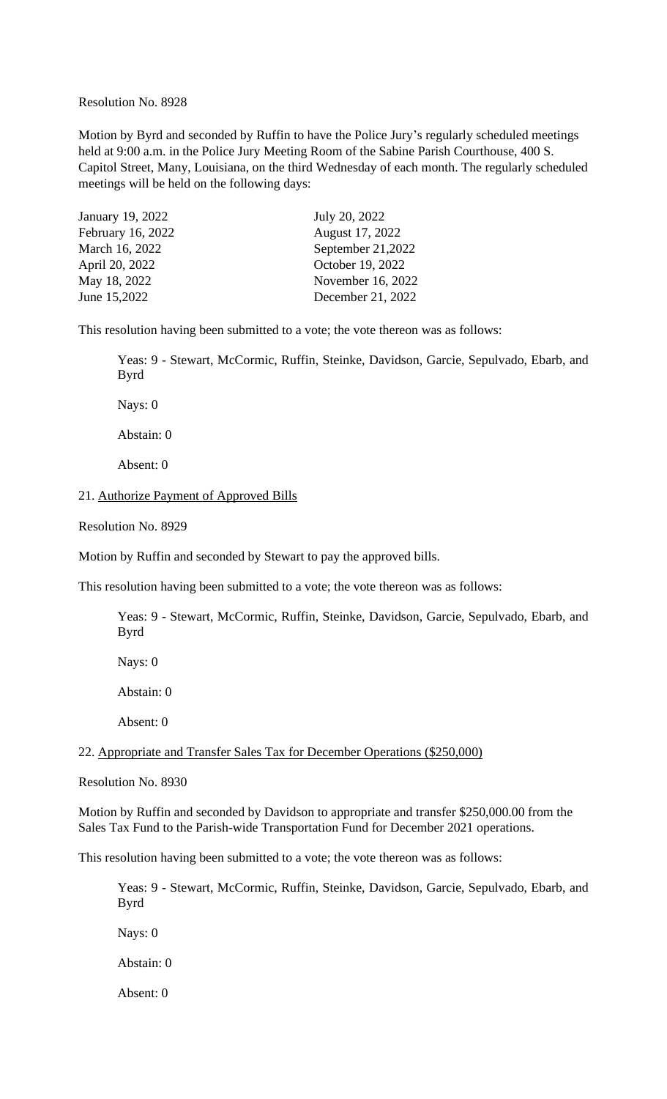Resolution No. 8928

Motion by Byrd and seconded by Ruffin to have the Police Jury's regularly scheduled meetings held at 9:00 a.m. in the Police Jury Meeting Room of the Sabine Parish Courthouse, 400 S. Capitol Street, Many, Louisiana, on the third Wednesday of each month. The regularly scheduled meetings will be held on the following days:

| January 19, 2022  | July 20, 2022     |
|-------------------|-------------------|
| February 16, 2022 | August 17, 2022   |
| March 16, 2022    | September 21,2022 |
| April 20, 2022    | October 19, 2022  |
| May 18, 2022      | November 16, 2022 |
| June 15,2022      | December 21, 2022 |

This resolution having been submitted to a vote; the vote thereon was as follows:

Yeas: 9 - Stewart, McCormic, Ruffin, Steinke, Davidson, Garcie, Sepulvado, Ebarb, and Byrd

Nays: 0

Abstain: 0

Absent: 0

#### 21. Authorize Payment of Approved Bills

Resolution No. 8929

Motion by Ruffin and seconded by Stewart to pay the approved bills.

This resolution having been submitted to a vote; the vote thereon was as follows:

Yeas: 9 - Stewart, McCormic, Ruffin, Steinke, Davidson, Garcie, Sepulvado, Ebarb, and Byrd

Nays: 0

Abstain: 0

Absent: 0

22. Appropriate and Transfer Sales Tax for December Operations (\$250,000)

Resolution No. 8930

Motion by Ruffin and seconded by Davidson to appropriate and transfer \$250,000.00 from the Sales Tax Fund to the Parish-wide Transportation Fund for December 2021 operations.

This resolution having been submitted to a vote; the vote thereon was as follows:

Yeas: 9 - Stewart, McCormic, Ruffin, Steinke, Davidson, Garcie, Sepulvado, Ebarb, and Byrd

Nays: 0

Abstain: 0

Absent: 0